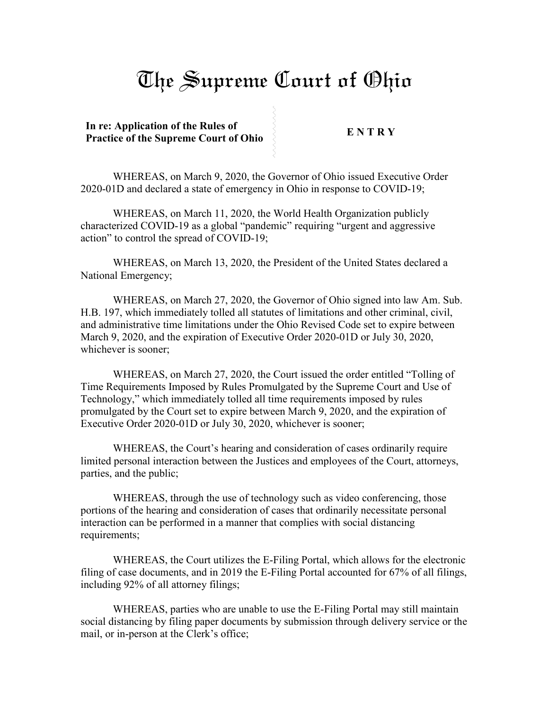## The Supreme Court of Ohio

**In re: Application of the Rules of Practice of the Supreme Court of Ohio** 

WHEREAS, on March 9, 2020, the Governor of Ohio issued Executive Order 2020-01D and declared a state of emergency in Ohio in response to COVID-19;

WHEREAS, on March 11, 2020, the World Health Organization publicly characterized COVID-19 as a global "pandemic" requiring "urgent and aggressive action" to control the spread of COVID-19;

WHEREAS, on March 13, 2020, the President of the United States declared a National Emergency;

WHEREAS, on March 27, 2020, the Governor of Ohio signed into law Am. Sub. H.B. 197, which immediately tolled all statutes of limitations and other criminal, civil, and administrative time limitations under the Ohio Revised Code set to expire between March 9, 2020, and the expiration of Executive Order 2020-01D or July 30, 2020, whichever is sooner;

WHEREAS, on March 27, 2020, the Court issued the order entitled "Tolling of Time Requirements Imposed by Rules Promulgated by the Supreme Court and Use of Technology," which immediately tolled all time requirements imposed by rules promulgated by the Court set to expire between March 9, 2020, and the expiration of Executive Order 2020-01D or July 30, 2020, whichever is sooner;

WHEREAS, the Court's hearing and consideration of cases ordinarily require limited personal interaction between the Justices and employees of the Court, attorneys, parties, and the public;

WHEREAS, through the use of technology such as video conferencing, those portions of the hearing and consideration of cases that ordinarily necessitate personal interaction can be performed in a manner that complies with social distancing requirements;

WHEREAS, the Court utilizes the E-Filing Portal, which allows for the electronic filing of case documents, and in 2019 the E-Filing Portal accounted for 67% of all filings, including 92% of all attorney filings;

WHEREAS, parties who are unable to use the E-Filing Portal may still maintain social distancing by filing paper documents by submission through delivery service or the mail, or in-person at the Clerk's office;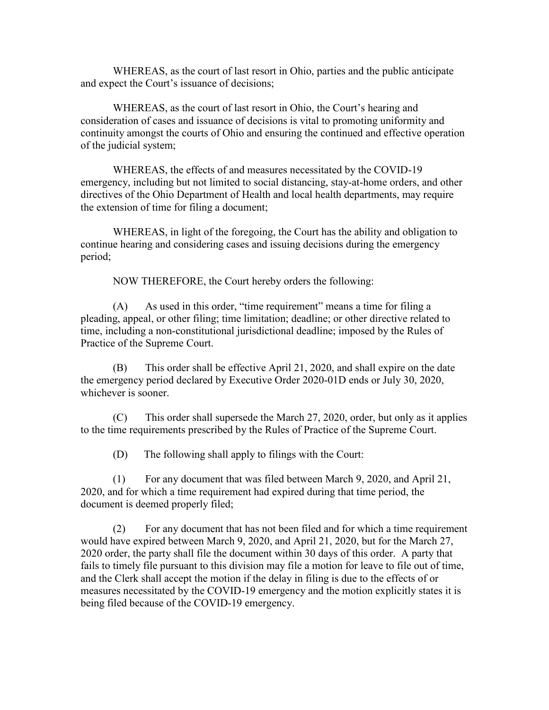WHEREAS, as the court of last resort in Ohio, parties and the public anticipate and expect the Court's issuance of decisions;

WHEREAS, as the court of last resort in Ohio, the Court's hearing and consideration of cases and issuance of decisions is vital to promoting uniformity and continuity amongst the courts of Ohio and ensuring the continued and effective operation of the judicial system;

WHEREAS, the effects of and measures necessitated by the COVID-19 emergency, including but not limited to social distancing, stay-at-home orders, and other directives of the Ohio Department of Health and local health departments, may require the extension of time for filing a document;

WHEREAS, in light of the foregoing, the Court has the ability and obligation to continue hearing and considering cases and issuing decisions during the emergency period;

NOW THEREFORE, the Court hereby orders the following:

(A) As used in this order, "time requirement" means a time for filing a pleading, appeal, or other filing; time limitation; deadline; or other directive related to time, including a non-constitutional jurisdictional deadline; imposed by the Rules of Practice of the Supreme Court.

(B) This order shall be effective April 21, 2020, and shall expire on the date the emergency period declared by Executive Order 2020-01D ends or July 30, 2020, whichever is sooner.

(C) This order shall supersede the March 27, 2020, order, but only as it applies to the time requirements prescribed by the Rules of Practice of the Supreme Court.

(D) The following shall apply to filings with the Court:

(1) For any document that was filed between March 9, 2020, and April 21, 2020, and for which a time requirement had expired during that time period, the document is deemed properly filed;

(2) For any document that has not been filed and for which a time requirement would have expired between March 9, 2020, and April 21, 2020, but for the March 27, 2020 order, the party shall file the document within 30 days of this order. A party that fails to timely file pursuant to this division may file a motion for leave to file out of time, and the Clerk shall accept the motion if the delay in filing is due to the effects of or measures necessitated by the COVID-19 emergency and the motion explicitly states it is being filed because of the COVID-19 emergency.